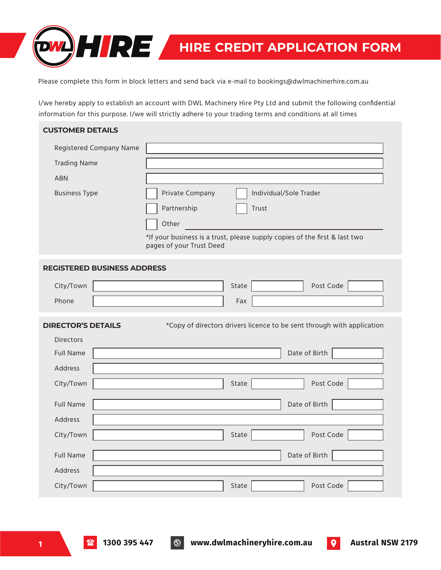

Please complete this form in block letters and send back via e-mail to bookings@dwlmachinerhire.com.au

I/we hereby apply to establish an account with DWL Machinery Hire Pty Ltd and submit the following confidential information for this purpose. I/we will strictly adhere to your trading terms and conditions at all times

## **CUSTOMER DETAILS** \*If your business is a trust, please supply copies of the first & last two pages of your Trust Deed Registered Company Name Trading Name ABN Business Type **Private Company** | | Individual/Sole Trader Partnership Other **Trust REGISTERED BUSINESS ADDRESS** City/Town State Post Code Phone Fax City/Town State Post Code **DIRECTOR'S DETAILS** \*Copy of directors drivers licence to be sent through with application **Directors** Address Full Name **Date of Birth** City/Town State Post Code Address Full Name **Date of Birth** City/Town Guide Code Code Post Code Reserves and State Post Code Post Code Address Full Name Date of Birth